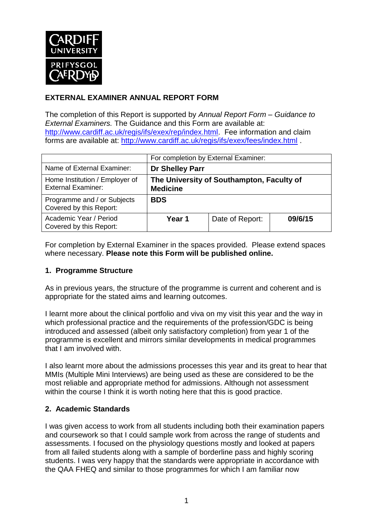

## **EXTERNAL EXAMINER ANNUAL REPORT FORM**

The completion of this Report is supported by *Annual Report Form – Guidance to External Examiners.* The Guidance and this Form are available at: [http://www.cardiff.ac.uk/regis/ifs/exex/rep/index.html.](http://www.cardiff.ac.uk/regis/ifs/exex/rep/index.html) Fee information and claim forms are available at:<http://www.cardiff.ac.uk/regis/ifs/exex/fees/index.html> .

|                                                             | For completion by External Examiner:                         |                 |         |  |
|-------------------------------------------------------------|--------------------------------------------------------------|-----------------|---------|--|
| Name of External Examiner:                                  | <b>Dr Shelley Parr</b>                                       |                 |         |  |
| Home Institution / Employer of<br><b>External Examiner:</b> | The University of Southampton, Faculty of<br><b>Medicine</b> |                 |         |  |
| Programme and / or Subjects<br>Covered by this Report:      | <b>BDS</b>                                                   |                 |         |  |
| Academic Year / Period<br>Covered by this Report:           | Year 1                                                       | Date of Report: | 09/6/15 |  |

For completion by External Examiner in the spaces provided. Please extend spaces where necessary. **Please note this Form will be published online.**

## **1. Programme Structure**

As in previous years, the structure of the programme is current and coherent and is appropriate for the stated aims and learning outcomes.

I learnt more about the clinical portfolio and viva on my visit this year and the way in which professional practice and the requirements of the profession/GDC is being introduced and assessed (albeit only satisfactory completion) from year 1 of the programme is excellent and mirrors similar developments in medical programmes that I am involved with.

I also learnt more about the admissions processes this year and its great to hear that MMIs (Multiple Mini Interviews) are being used as these are considered to be the most reliable and appropriate method for admissions. Although not assessment within the course I think it is worth noting here that this is good practice.

## **2. Academic Standards**

I was given access to work from all students including both their examination papers and coursework so that I could sample work from across the range of students and assessments. I focused on the physiology questions mostly and looked at papers from all failed students along with a sample of borderline pass and highly scoring students. I was very happy that the standards were appropriate in accordance with the QAA FHEQ and similar to those programmes for which I am familiar now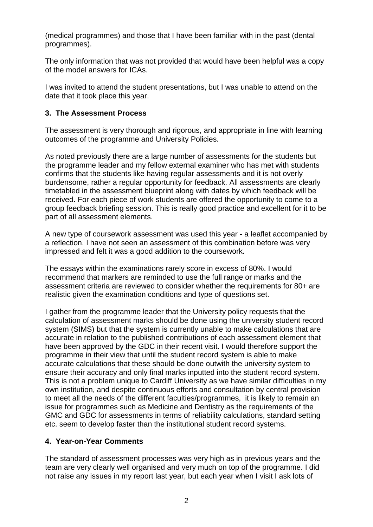(medical programmes) and those that I have been familiar with in the past (dental programmes).

The only information that was not provided that would have been helpful was a copy of the model answers for ICAs.

I was invited to attend the student presentations, but I was unable to attend on the date that it took place this year.

#### **3. The Assessment Process**

The assessment is very thorough and rigorous, and appropriate in line with learning outcomes of the programme and University Policies.

As noted previously there are a large number of assessments for the students but the programme leader and my fellow external examiner who has met with students confirms that the students like having regular assessments and it is not overly burdensome, rather a regular opportunity for feedback. All assessments are clearly timetabled in the assessment blueprint along with dates by which feedback will be received. For each piece of work students are offered the opportunity to come to a group feedback briefing session. This is really good practice and excellent for it to be part of all assessment elements.

A new type of coursework assessment was used this year - a leaflet accompanied by a reflection. I have not seen an assessment of this combination before was very impressed and felt it was a good addition to the coursework.

The essays within the examinations rarely score in excess of 80%. I would recommend that markers are reminded to use the full range or marks and the assessment criteria are reviewed to consider whether the requirements for 80+ are realistic given the examination conditions and type of questions set.

I gather from the programme leader that the University policy requests that the calculation of assessment marks should be done using the university student record system (SIMS) but that the system is currently unable to make calculations that are accurate in relation to the published contributions of each assessment element that have been approved by the GDC in their recent visit. I would therefore support the programme in their view that until the student record system is able to make accurate calculations that these should be done outwith the university system to ensure their accuracy and only final marks inputted into the student record system. This is not a problem unique to Cardiff University as we have similar difficulties in my own institution, and despite continuous efforts and consultation by central provision to meet all the needs of the different faculties/programmes, it is likely to remain an issue for programmes such as Medicine and Dentistry as the requirements of the GMC and GDC for assessments in terms of reliability calculations, standard setting etc. seem to develop faster than the institutional student record systems.

## **4. Year-on-Year Comments**

The standard of assessment processes was very high as in previous years and the team are very clearly well organised and very much on top of the programme. I did not raise any issues in my report last year, but each year when I visit I ask lots of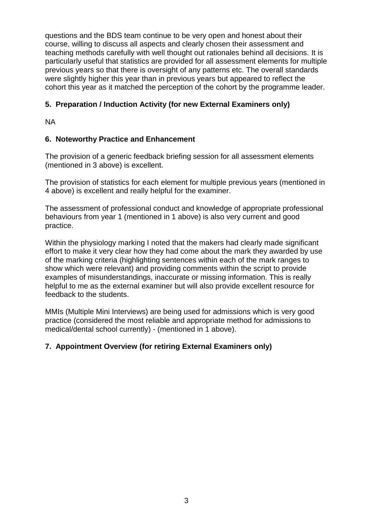questions and the BDS team continue to be very open and honest about their course, willing to discuss all aspects and clearly chosen their assessment and teaching methods carefully with well thought out rationales behind all decisions. It is particularly useful that statistics are provided for all assessment elements for multiple previous years so that there is oversight of any patterns etc. The overall standards were slightly higher this year than in previous years but appeared to reflect the cohort this year as it matched the perception of the cohort by the programme leader.

## **5. Preparation / Induction Activity (for new External Examiners only)**

NA

## **6. Noteworthy Practice and Enhancement**

The provision of a generic feedback briefing session for all assessment elements (mentioned in 3 above) is excellent.

The provision of statistics for each element for multiple previous years (mentioned in 4 above) is excellent and really helpful for the examiner.

The assessment of professional conduct and knowledge of appropriate professional behaviours from year 1 (mentioned in 1 above) is also very current and good practice.

Within the physiology marking I noted that the makers had clearly made significant effort to make it very clear how they had come about the mark they awarded by use of the marking criteria (highlighting sentences within each of the mark ranges to show which were relevant) and providing comments within the script to provide examples of misunderstandings, inaccurate or missing information. This is really helpful to me as the external examiner but will also provide excellent resource for feedback to the students.

MMIs (Multiple Mini Interviews) are being used for admissions which is very good practice (considered the most reliable and appropriate method for admissions to medical/dental school currently) - (mentioned in 1 above).

# **7. Appointment Overview (for retiring External Examiners only)**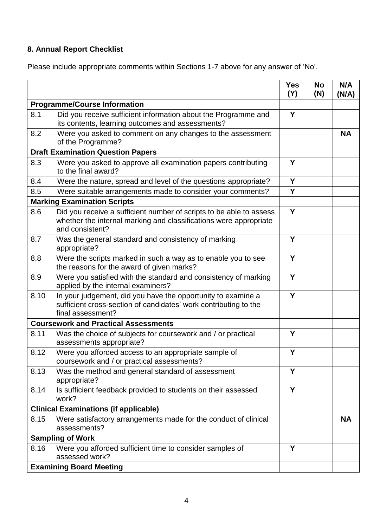# **8. Annual Report Checklist**

Please include appropriate comments within Sections 1-7 above for any answer of 'No'.

|                                             |                                                                                                                                                             | <b>Yes</b><br>(Y) | <b>No</b><br>(N) | N/A<br>(N/A) |  |
|---------------------------------------------|-------------------------------------------------------------------------------------------------------------------------------------------------------------|-------------------|------------------|--------------|--|
| <b>Programme/Course Information</b>         |                                                                                                                                                             |                   |                  |              |  |
| 8.1                                         | Did you receive sufficient information about the Programme and<br>its contents, learning outcomes and assessments?                                          | Y                 |                  |              |  |
| 8.2                                         | Were you asked to comment on any changes to the assessment<br>of the Programme?                                                                             |                   |                  | <b>NA</b>    |  |
| <b>Draft Examination Question Papers</b>    |                                                                                                                                                             |                   |                  |              |  |
| 8.3                                         | Were you asked to approve all examination papers contributing<br>to the final award?                                                                        | Y                 |                  |              |  |
| 8.4                                         | Were the nature, spread and level of the questions appropriate?                                                                                             | Y                 |                  |              |  |
| 8.5                                         | Were suitable arrangements made to consider your comments?                                                                                                  | Y                 |                  |              |  |
|                                             | <b>Marking Examination Scripts</b>                                                                                                                          |                   |                  |              |  |
| 8.6                                         | Did you receive a sufficient number of scripts to be able to assess<br>whether the internal marking and classifications were appropriate<br>and consistent? | Y                 |                  |              |  |
| 8.7                                         | Was the general standard and consistency of marking<br>appropriate?                                                                                         | Y                 |                  |              |  |
| 8.8                                         | Were the scripts marked in such a way as to enable you to see<br>the reasons for the award of given marks?                                                  | Y                 |                  |              |  |
| 8.9                                         | Were you satisfied with the standard and consistency of marking<br>applied by the internal examiners?                                                       | Y                 |                  |              |  |
| 8.10                                        | In your judgement, did you have the opportunity to examine a<br>sufficient cross-section of candidates' work contributing to the<br>final assessment?       | Y                 |                  |              |  |
| <b>Coursework and Practical Assessments</b> |                                                                                                                                                             |                   |                  |              |  |
| 8.11                                        | Was the choice of subjects for coursework and / or practical<br>assessments appropriate?                                                                    | Y                 |                  |              |  |
| 8.12                                        | Were you afforded access to an appropriate sample of<br>coursework and / or practical assessments?                                                          | Y                 |                  |              |  |
| 8.13                                        | Was the method and general standard of assessment<br>appropriate?                                                                                           | Υ                 |                  |              |  |
| 8.14                                        | Is sufficient feedback provided to students on their assessed<br>work?                                                                                      | Y                 |                  |              |  |
|                                             | <b>Clinical Examinations (if applicable)</b>                                                                                                                |                   |                  |              |  |
| 8.15                                        | Were satisfactory arrangements made for the conduct of clinical<br>assessments?                                                                             |                   |                  | <b>NA</b>    |  |
|                                             | <b>Sampling of Work</b>                                                                                                                                     |                   |                  |              |  |
| 8.16                                        | Were you afforded sufficient time to consider samples of<br>assessed work?                                                                                  | Y                 |                  |              |  |
| <b>Examining Board Meeting</b>              |                                                                                                                                                             |                   |                  |              |  |